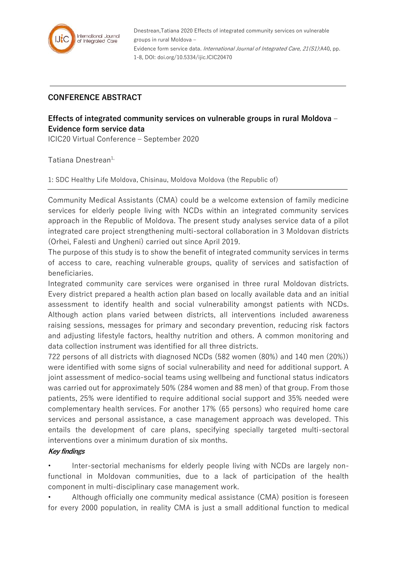

Dnestrean,Tatiana 2020 Effects of integrated community services on vulnerable groups in rural Moldova – Evidence form service data. International Journal of Integrated Care, 21(S1):A40, pp. 1-8, DOI: doi.org/10.5334/ijic.ICIC20470

## **CONFERENCE ABSTRACT**

## **Effects of integrated community services on vulnerable groups in rural Moldova – Evidence form service data**

ICIC20 Virtual Conference – September 2020

Tatiana Dnestrean<sup>1,</sup>

1: SDC Healthy Life Moldova, Chisinau, Moldova Moldova (the Republic of)

Community Medical Assistants (CMA) could be a welcome extension of family medicine services for elderly people living with NCDs within an integrated community services approach in the Republic of Moldova. The present study analyses service data of a pilot integrated care project strengthening multi-sectoral collaboration in 3 Moldovan districts (Orhei, Falesti and Ungheni) carried out since April 2019.

The purpose of this study is to show the benefit of integrated community services in terms of access to care, reaching vulnerable groups, quality of services and satisfaction of beneficiaries.

Integrated community care services were organised in three rural Moldovan districts. Every district prepared a health action plan based on locally available data and an initial assessment to identify health and social vulnerability amongst patients with NCDs. Although action plans varied between districts, all interventions included awareness raising sessions, messages for primary and secondary prevention, reducing risk factors and adjusting lifestyle factors, healthy nutrition and others. A common monitoring and data collection instrument was identified for all three districts.

722 persons of all districts with diagnosed NCDs (582 women (80%) and 140 men (20%)) were identified with some signs of social vulnerability and need for additional support. A joint assessment of medico-social teams using wellbeing and functional status indicators was carried out for approximately 50% (284 women and 88 men) of that group. From those patients, 25% were identified to require additional social support and 35% needed were complementary health services. For another 17% (65 persons) who required home care services and personal assistance, a case management approach was developed. This entails the development of care plans, specifying specially targeted multi-sectoral interventions over a minimum duration of six months.

## **Key findings**

• Inter-sectorial mechanisms for elderly people living with NCDs are largely nonfunctional in Moldovan communities, due to a lack of participation of the health component in multi-disciplinary case management work.

• Although officially one community medical assistance (CMA) position is foreseen for every 2000 population, in reality CMA is just a small additional function to medical